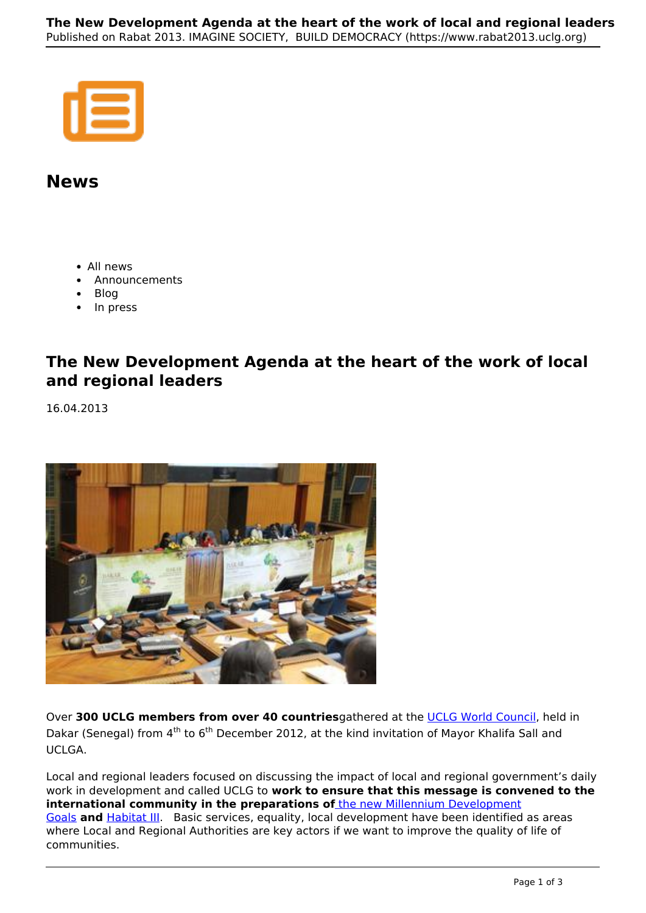## **News**

- All news
- Announcements
- Blog
- In press

## **The New Development Agenda at the heart of the work of local and regional leaders**

16.04.2013



Over **300 UCLG members from over 40 countries**gathered at the UCLG World Council, held in Dakar (Senegal) from 4<sup>th</sup> to 6<sup>th</sup> December 2012, at the kind invitation of Mayor Khalifa Sall and UCLGA.

Local and regional leaders focused on discussing the impact of local and regional government's daily work in development and called UCLG to **work to ensure that this message is convened to the international community in the preparations of** the new Millennium Development Goals **and** Habitat III. Basic services, equality, local development have been identified as areas where Local and Regional Authorities are key actors if we want to improve the quality of life of communities.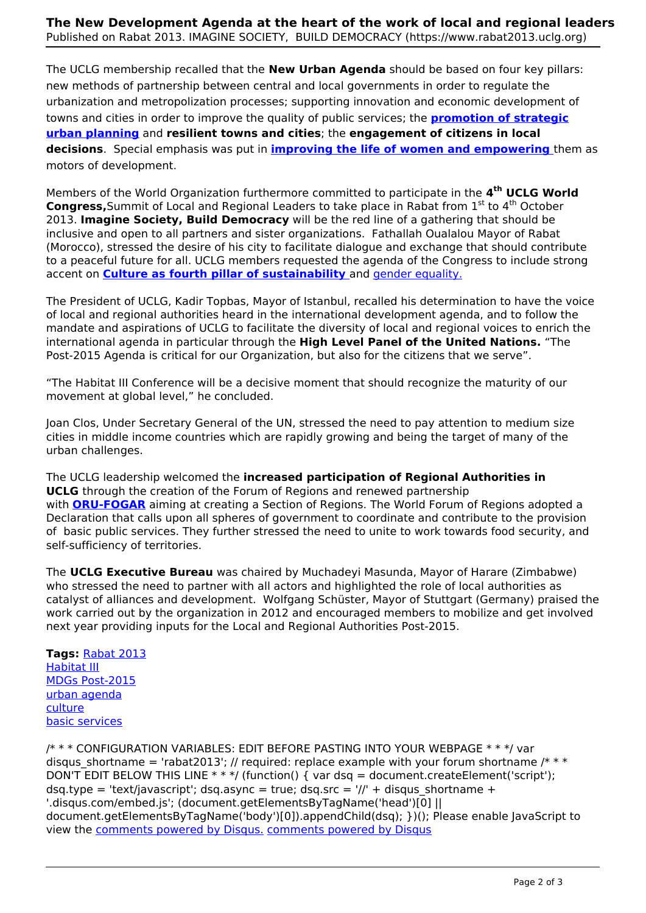The UCLG membership recalled that the **New Urban Agenda** should be based on four key pillars: new methods of partnership between central and local governments in order to regulate the urbanization and metropolization processes; supporting innovation and economic development of towns and cities in order to improve the quality of public services; the **promotion of strategic urban planning** and **resilient towns and cities**; the **engagement of citizens in local decisions**. Special emphasis was put in **improving the life of women and empowering** them as motors of development.

Members of the World Organization furthermore committed to participate in the **4th UCLG World Congress,**Summit of Local and Regional Leaders to take place in Rabat from 1<sup>st</sup> to 4<sup>th</sup> October 2013. **Imagine Society, Build Democracy** will be the red line of a gathering that should be inclusive and open to all partners and sister organizations. Fathallah Oualalou Mayor of Rabat (Morocco), stressed the desire of his city to facilitate dialogue and exchange that should contribute to a peaceful future for all. UCLG members requested the agenda of the Congress to include strong accent on **Culture as fourth pillar of sustainability** and gender equality.

The President of UCLG, Kadir Topbas, Mayor of Istanbul, recalled his determination to have the voice of local and regional authorities heard in the international development agenda, and to follow the mandate and aspirations of UCLG to facilitate the diversity of local and regional voices to enrich the international agenda in particular through the **High Level Panel of the United Nations.** "The Post-2015 Agenda is critical for our Organization, but also for the citizens that we serve".

"The Habitat III Conference will be a decisive moment that should recognize the maturity of our movement at global level," he concluded.

Joan Clos, Under Secretary General of the UN, stressed the need to pay attention to medium size cities in middle income countries which are rapidly growing and being the target of many of the urban challenges.

The UCLG leadership welcomed the **increased participation of Regional Authorities in UCLG** through the creation of the Forum of Regions and renewed partnership with **ORU-FOGAR** aiming at creating a Section of Regions. The World Forum of Regions adopted a Declaration that calls upon all spheres of government to coordinate and contribute to the provision of basic public services. They further stressed the need to unite to work towards food security, and self-sufficiency of territories.

The **UCLG Executive Bureau** was chaired by Muchadeyi Masunda, Mayor of Harare (Zimbabwe) who stressed the need to partner with all actors and highlighted the role of local authorities as catalyst of alliances and development. Wolfgang Schüster, Mayor of Stuttgart (Germany) praised the work carried out by the organization in 2012 and encouraged members to mobilize and get involved next year providing inputs for the Local and Regional Authorities Post-2015.

**Tags:** Rabat 2013 Habitat III MDGs Post-2015 urban agenda culture basic services

/\* \* \* CONFIGURATION VARIABLES: EDIT BEFORE PASTING INTO YOUR WEBPAGE \* \* \*/ var disqus shortname = 'rabat2013'; // required: replace example with your forum shortname /\* \* \* DON'T EDIT BELOW THIS LINE  $***$  / (function() { var dsq = document.createElement('script'); dsq.type = 'text/javascript'; dsq.async = true; dsq.src = '//' + disqus shortname + '.disqus.com/embed.js'; (document.getElementsByTagName('head')[0] || document.getElementsByTagName('body')[0]).appendChild(dsq); })(); Please enable JavaScript to view the comments powered by Disqus. comments powered by Disqus